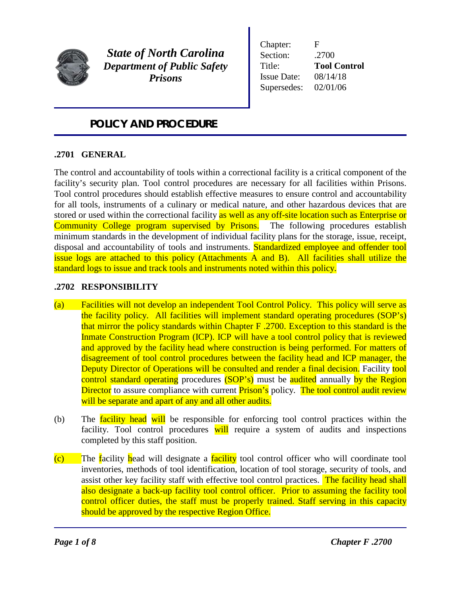

*State of North Carolina Department of Public Safety Prisons*

Chapter: F Section: .2700 Title: **Tool Control** Issue Date: 08/14/18 Supersedes: 02/01/06

## *POLICY AND PROCEDURE*

### **.2701 GENERAL**

The control and accountability of tools within a correctional facility is a critical component of the facility's security plan. Tool control procedures are necessary for all facilities within Prisons. Tool control procedures should establish effective measures to ensure control and accountability for all tools, instruments of a culinary or medical nature, and other hazardous devices that are stored or used within the correctional facility as well as any off-site location such as Enterprise or Community College program supervised by Prisons. The following procedures establish minimum standards in the development of individual facility plans for the storage, issue, receipt, disposal and accountability of tools and instruments. Standardized employee and offender tool issue logs are attached to this policy (Attachments A and B). All facilities shall utilize the standard logs to issue and track tools and instruments noted within this policy.

### **.2702 RESPONSIBILITY**

- (a) Facilities will not develop an independent Tool Control Policy. This policy will serve as the facility policy. All facilities will implement standard operating procedures (SOP's) that mirror the policy standards within Chapter F .2700. Exception to this standard is the Inmate Construction Program (ICP). ICP will have a tool control policy that is reviewed and approved by the facility head where construction is being performed. For matters of disagreement of tool control procedures between the facility head and ICP manager, the Deputy Director of Operations will be consulted and render a final decision. Facility tool control standard operating procedures (SOP's) must be audited annually by the Region Director to assure compliance with current Prison's policy. The tool control audit review will be separate and apart of any and all other audits.
- (b) The **facility head will** be responsible for enforcing tool control practices within the facility. Tool control procedures will require a system of audits and inspections completed by this staff position.
- (c) The facility head will designate a facility tool control officer who will coordinate tool inventories, methods of tool identification, location of tool storage, security of tools, and assist other key facility staff with effective tool control practices. The facility head shall also designate a back-up facility tool control officer. Prior to assuming the facility tool control officer duties, the staff must be properly trained. Staff serving in this capacity should be approved by the respective Region Office.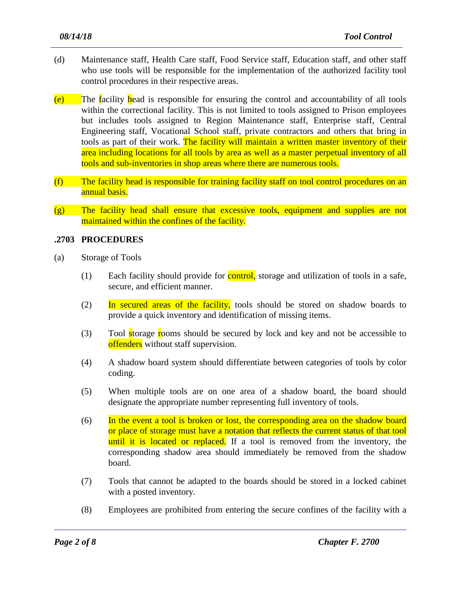- (d) Maintenance staff, Health Care staff, Food Service staff, Education staff, and other staff who use tools will be responsible for the implementation of the authorized facility tool control procedures in their respective areas.
- $(e)$  The facility head is responsible for ensuring the control and accountability of all tools within the correctional facility. This is not limited to tools assigned to Prison employees but includes tools assigned to Region Maintenance staff, Enterprise staff, Central Engineering staff, Vocational School staff, private contractors and others that bring in tools as part of their work. The facility will maintain a written master inventory of their area including locations for all tools by area as well as a master perpetual inventory of all tools and sub-inventories in shop areas where there are numerous tools.
- (f) The facility head is responsible for training facility staff on tool control procedures on an annual basis.
- (g) The facility head shall ensure that excessive tools, equipment and supplies are not maintained within the confines of the facility.

#### **.2703 PROCEDURES**

- (a) Storage of Tools
	- (1) Each facility should provide for **control**, storage and utilization of tools in a safe, secure, and efficient manner.
	- (2) In secured areas of the facility, tools should be stored on shadow boards to provide a quick inventory and identification of missing items.
	- (3) Tool storage rooms should be secured by lock and key and not be accessible to offenders without staff supervision.
	- (4) A shadow board system should differentiate between categories of tools by color coding.
	- (5) When multiple tools are on one area of a shadow board, the board should designate the appropriate number representing full inventory of tools.
	- (6) In the event a tool is broken or lost, the corresponding area on the shadow board or place of storage must have a notation that reflects the current status of that tool until it is located or replaced. If a tool is removed from the inventory, the corresponding shadow area should immediately be removed from the shadow board.
	- (7) Tools that cannot be adapted to the boards should be stored in a locked cabinet with a posted inventory.
	- (8) Employees are prohibited from entering the secure confines of the facility with a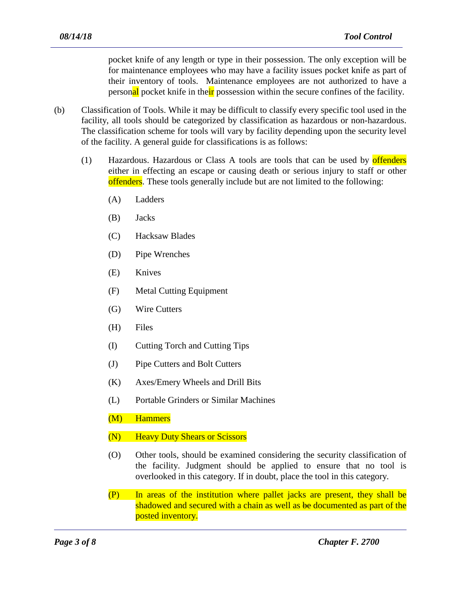pocket knife of any length or type in their possession. The only exception will be for maintenance employees who may have a facility issues pocket knife as part of their inventory of tools. Maintenance employees are not authorized to have a personal pocket knife in their possession within the secure confines of the facility.

- (b) Classification of Tools. While it may be difficult to classify every specific tool used in the facility, all tools should be categorized by classification as hazardous or non-hazardous. The classification scheme for tools will vary by facility depending upon the security level of the facility. A general guide for classifications is as follows:
	- (1) Hazardous. Hazardous or Class A tools are tools that can be used by offenders either in effecting an escape or causing death or serious injury to staff or other offenders. These tools generally include but are not limited to the following:
		- (A) Ladders
		- (B) Jacks
		- (C) Hacksaw Blades
		- (D) Pipe Wrenches
		- (E) Knives
		- (F) Metal Cutting Equipment
		- (G) Wire Cutters
		- (H) Files
		- (I) Cutting Torch and Cutting Tips
		- (J) Pipe Cutters and Bolt Cutters
		- (K) Axes/Emery Wheels and Drill Bits
		- (L) Portable Grinders or Similar Machines
		- (M) Hammers
		- (N) Heavy Duty Shears or Scissors
		- (O) Other tools, should be examined considering the security classification of the facility. Judgment should be applied to ensure that no tool is overlooked in this category. If in doubt, place the tool in this category.
		- (P) In areas of the institution where pallet jacks are present, they shall be shadowed and secured with a chain as well as be documented as part of the posted inventory.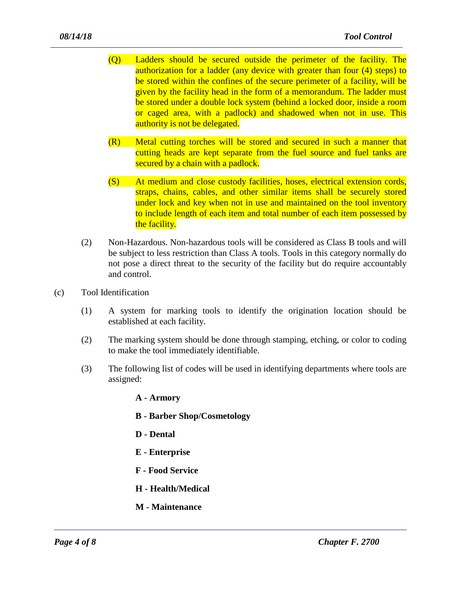- (Q) Ladders should be secured outside the perimeter of the facility. The authorization for a ladder (any device with greater than four (4) steps) to be stored within the confines of the secure perimeter of a facility, will be given by the facility head in the form of a memorandum. The ladder must be stored under a double lock system (behind a locked door, inside a room or caged area, with a padlock) and shadowed when not in use. This authority is not be delegated.
- (R) Metal cutting torches will be stored and secured in such a manner that cutting heads are kept separate from the fuel source and fuel tanks are secured by a chain with a padlock.
- (S) At medium and close custody facilities, hoses, electrical extension cords, straps, chains, cables, and other similar items shall be securely stored under lock and key when not in use and maintained on the tool inventory to include length of each item and total number of each item possessed by the facility.
- (2) Non-Hazardous. Non-hazardous tools will be considered as Class B tools and will be subject to less restriction than Class A tools. Tools in this category normally do not pose a direct threat to the security of the facility but do require accountably and control.
- (c) Tool Identification
	- (1) A system for marking tools to identify the origination location should be established at each facility.
	- (2) The marking system should be done through stamping, etching, or color to coding to make the tool immediately identifiable.
	- (3) The following list of codes will be used in identifying departments where tools are assigned:
		- **A - Armory**
		- **B - Barber Shop/Cosmetology**

- **D - Dental**
- **E - Enterprise**
- **F - Food Service**
- **H - Health/Medical**
- **M - Maintenance**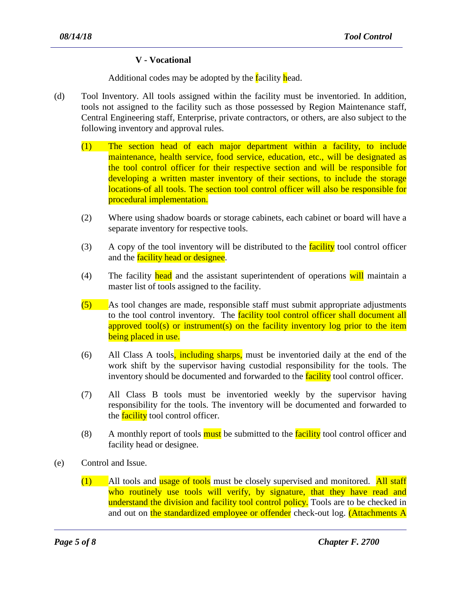### **V - Vocational**

Additional codes may be adopted by the facility head.

- (d) Tool Inventory. All tools assigned within the facility must be inventoried. In addition, tools not assigned to the facility such as those possessed by Region Maintenance staff, Central Engineering staff, Enterprise, private contractors, or others, are also subject to the following inventory and approval rules.
	- (1) The section head of each major department within a facility, to include maintenance, health service, food service, education, etc., will be designated as the tool control officer for their respective section and will be responsible for developing a written master inventory of their sections, to include the storage locations of all tools. The section tool control officer will also be responsible for procedural implementation.
	- (2) Where using shadow boards or storage cabinets, each cabinet or board will have a separate inventory for respective tools.
	- $(3)$  A copy of the tool inventory will be distributed to the facility tool control officer and the **facility head or designee**.
	- (4) The facility head and the assistant superintendent of operations will maintain a master list of tools assigned to the facility.
	- (5) As tool changes are made, responsible staff must submit appropriate adjustments to the tool control inventory. The **facility tool control officer shall document all** approved tool(s) or instrument(s) on the facility inventory log prior to the item being placed in use.
	- (6) All Class A tools, including sharps, must be inventoried daily at the end of the work shift by the supervisor having custodial responsibility for the tools. The inventory should be documented and forwarded to the **facility** tool control officer.
	- (7) All Class B tools must be inventoried weekly by the supervisor having responsibility for the tools. The inventory will be documented and forwarded to the **facility** tool control officer.
	- (8) A monthly report of tools **must** be submitted to the **facility** tool control officer and facility head or designee.
- (e) Control and Issue.
	- $(1)$  All tools and usage of tools must be closely supervised and monitored. All staff who routinely use tools will verify, by signature, that they have read and understand the division and facility tool control policy. Tools are to be checked in and out on the standardized employee or offender check-out log. (Attachments A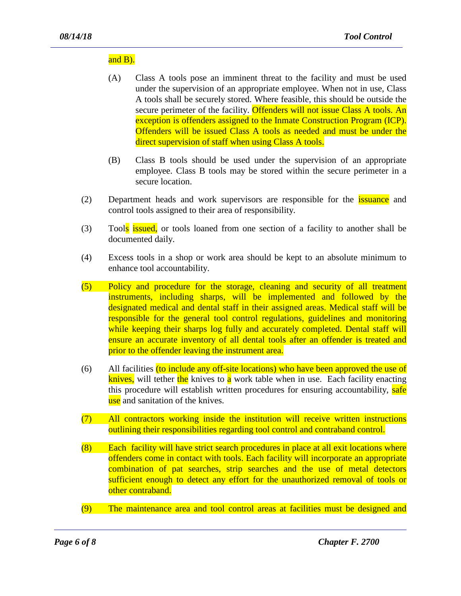#### and B).

- (A) Class A tools pose an imminent threat to the facility and must be used under the supervision of an appropriate employee. When not in use, Class A tools shall be securely stored. Where feasible, this should be outside the secure perimeter of the facility. Offenders will not issue Class A tools. An exception is offenders assigned to the Inmate Construction Program (ICP). Offenders will be issued Class A tools as needed and must be under the direct supervision of staff when using Class A tools.
- (B) Class B tools should be used under the supervision of an appropriate employee. Class B tools may be stored within the secure perimeter in a secure location.
- (2) Department heads and work supervisors are responsible for the **issuance** and control tools assigned to their area of responsibility.
- (3) Tools issued, or tools loaned from one section of a facility to another shall be documented daily.
- (4) Excess tools in a shop or work area should be kept to an absolute minimum to enhance tool accountability.
- (5) Policy and procedure for the storage, cleaning and security of all treatment instruments, including sharps, will be implemented and followed by the designated medical and dental staff in their assigned areas. Medical staff will be responsible for the general tool control regulations, guidelines and monitoring while keeping their sharps log fully and accurately completed. Dental staff will ensure an accurate inventory of all dental tools after an offender is treated and prior to the offender leaving the instrument area.
- (6) All facilities (to include any off-site locations) who have been approved the use of knives, will tether the knives to a work table when in use. Each facility enacting this procedure will establish written procedures for ensuring accountability, safe use and sanitation of the knives.
- (7) All contractors working inside the institution will receive written instructions outlining their responsibilities regarding tool control and contraband control.
- (8) Each facility will have strict search procedures in place at all exit locations where offenders come in contact with tools. Each facility will incorporate an appropriate combination of pat searches, strip searches and the use of metal detectors sufficient enough to detect any effort for the unauthorized removal of tools or other contraband.
- (9) The maintenance area and tool control areas at facilities must be designed and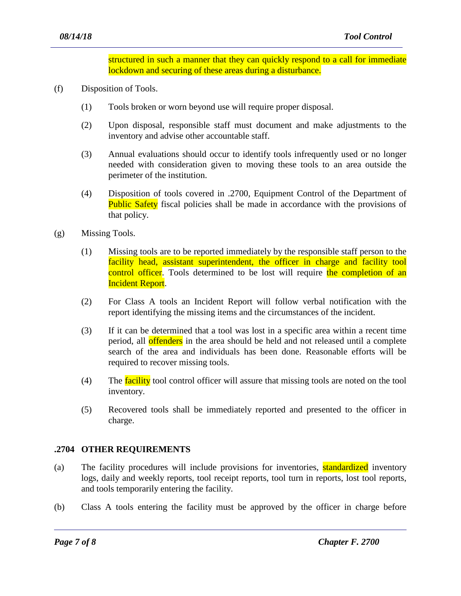structured in such a manner that they can quickly respond to a call for immediate lockdown and securing of these areas during a disturbance.

- (f) Disposition of Tools.
	- (1) Tools broken or worn beyond use will require proper disposal.
	- (2) Upon disposal, responsible staff must document and make adjustments to the inventory and advise other accountable staff.
	- (3) Annual evaluations should occur to identify tools infrequently used or no longer needed with consideration given to moving these tools to an area outside the perimeter of the institution.
	- (4) Disposition of tools covered in .2700, Equipment Control of the Department of Public Safety fiscal policies shall be made in accordance with the provisions of that policy.
- (g) Missing Tools.
	- (1) Missing tools are to be reported immediately by the responsible staff person to the facility head, assistant superintendent, the officer in charge and facility tool control officer. Tools determined to be lost will require the completion of an Incident Report.
	- (2) For Class A tools an Incident Report will follow verbal notification with the report identifying the missing items and the circumstances of the incident.
	- (3) If it can be determined that a tool was lost in a specific area within a recent time period, all offenders in the area should be held and not released until a complete search of the area and individuals has been done. Reasonable efforts will be required to recover missing tools.
	- (4) The facility tool control officer will assure that missing tools are noted on the tool inventory.
	- (5) Recovered tools shall be immediately reported and presented to the officer in charge.

#### **.2704 OTHER REQUIREMENTS**

- (a) The facility procedures will include provisions for inventories, **standardized** inventory logs, daily and weekly reports, tool receipt reports, tool turn in reports, lost tool reports, and tools temporarily entering the facility.
- (b) Class A tools entering the facility must be approved by the officer in charge before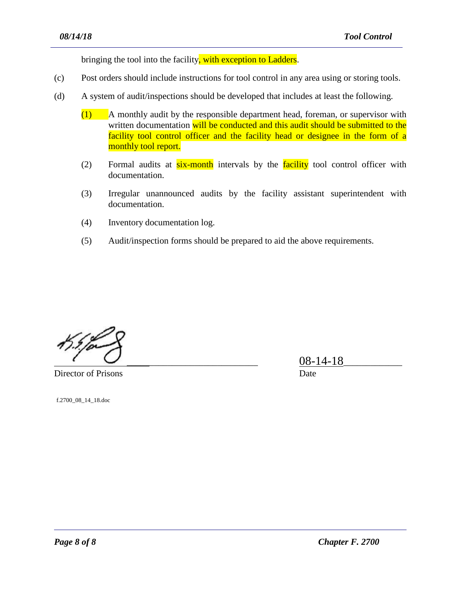bringing the tool into the facility, with exception to Ladders.

- (c) Post orders should include instructions for tool control in any area using or storing tools.
- (d) A system of audit/inspections should be developed that includes at least the following.
	- (1) A monthly audit by the responsible department head, foreman, or supervisor with written documentation will be conducted and this audit should be submitted to the facility tool control officer and the facility head or designee in the form of a monthly tool report.
	- (2) Formal audits at  $six$ -month intervals by the facility tool control officer with documentation.
	- (3) Irregular unannounced audits by the facility assistant superintendent with documentation.
	- (4) Inventory documentation log.
	- (5) Audit/inspection forms should be prepared to aid the above requirements.

Director of Prisons Date

\_\_\_\_\_\_\_\_\_\_\_\_\_\_\_\_\_\_\_\_\_\_\_\_\_\_\_\_\_ 08-14-18\_\_\_\_\_\_\_\_\_\_\_\_\_

f.2700\_08\_14\_18.doc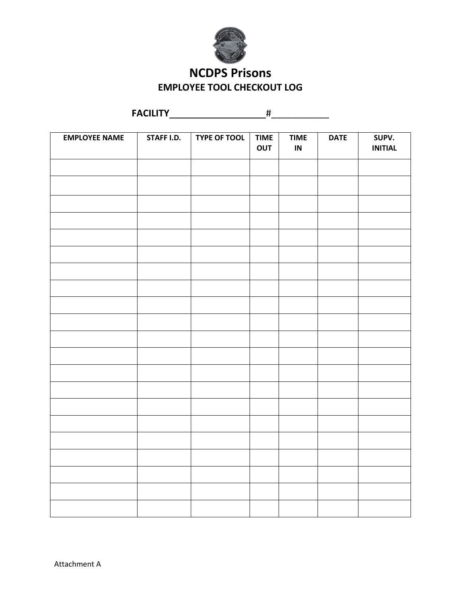

## **NCDPS Prisons EMPLOYEE TOOL CHECKOUT LOG**

|                      | <b>FACILITY</b> |                     | #                  |                         |             |                         |
|----------------------|-----------------|---------------------|--------------------|-------------------------|-------------|-------------------------|
|                      |                 |                     |                    |                         |             |                         |
| <b>EMPLOYEE NAME</b> | STAFF I.D.      | <b>TYPE OF TOOL</b> | <b>TIME</b><br>OUT | <b>TIME</b><br>$\sf IN$ | <b>DATE</b> | SUPV.<br><b>INITIAL</b> |
|                      |                 |                     |                    |                         |             |                         |
|                      |                 |                     |                    |                         |             |                         |
|                      |                 |                     |                    |                         |             |                         |
|                      |                 |                     |                    |                         |             |                         |
|                      |                 |                     |                    |                         |             |                         |
|                      |                 |                     |                    |                         |             |                         |
|                      |                 |                     |                    |                         |             |                         |
|                      |                 |                     |                    |                         |             |                         |
|                      |                 |                     |                    |                         |             |                         |
|                      |                 |                     |                    |                         |             |                         |
|                      |                 |                     |                    |                         |             |                         |
|                      |                 |                     |                    |                         |             |                         |
|                      |                 |                     |                    |                         |             |                         |
|                      |                 |                     |                    |                         |             |                         |
|                      |                 |                     |                    |                         |             |                         |
|                      |                 |                     |                    |                         |             |                         |
|                      |                 |                     |                    |                         |             |                         |
|                      |                 |                     |                    |                         |             |                         |
|                      |                 |                     |                    |                         |             |                         |
|                      |                 |                     |                    |                         |             |                         |